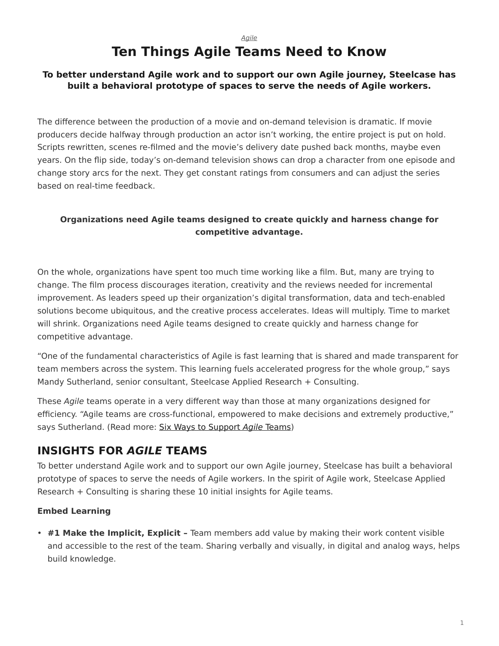#### *[Agile](https://www.steelcase.com/research/topics/agile/)*

## **Ten Things Agile Teams Need to Know**

#### <span id="page-0-0"></span>**To better understand Agile work and to support our own Agile journey, Steelcase has built a behavioral prototype of spaces to serve the needs of Agile workers.**

The difference between the production of a movie and on-demand television is dramatic. If movie producers decide halfway through production an actor isn't working, the entire project is put on hold. Scripts rewritten, scenes re-filmed and the movie's delivery date pushed back months, maybe even years. On the flip side, today's on-demand television shows can drop a character from one episode and change story arcs for the next. They get constant ratings from consumers and can adjust the series based on real-time feedback.

#### **Organizations need Agile teams designed to create quickly and harness change for competitive advantage.**

On the whole, organizations have spent too much time working like a film. But, many are trying to change. The film process discourages iteration, creativity and the reviews needed for incremental improvement. As leaders speed up their organization's digital transformation, data and tech-enabled solutions become ubiquitous, and the creative process accelerates. Ideas will multiply. Time to market will shrink. Organizations need Agile teams designed to create quickly and harness change for competitive advantage.

"One of the fundamental characteristics of Agile is fast learning that is shared and made transparent for team members across the system. This learning fuels accelerated progress for the whole group," says Mandy Sutherland, senior consultant, Steelcase Applied Research + Consulting.

These *Agile* teams operate in a very different way than those at many organizations designed for efficiency. "Agile teams are cross-functional, empowered to make decisions and extremely productive," says Sutherland. (Read more: [Six Ways to Support](https://www.steelcase.com/research/articles/six-ways-support-agile-teams/) *Agile* Teams)

### **INSIGHTS FOR** *AGILE* **TEAMS**

To better understand Agile work and to support our own Agile journey, Steelcase has built a behavioral prototype of spaces to serve the needs of Agile workers. In the spirit of Agile work, Steelcase Applied Research + Consulting is sharing these 10 initial insights for Agile teams.

#### **Embed Learning**

• **#1 Make the Implicit, Explicit –** Team members add value by making their work content visible and accessible to the rest of the team. Sharing verbally and visually, in digital and analog ways, helps build knowledge.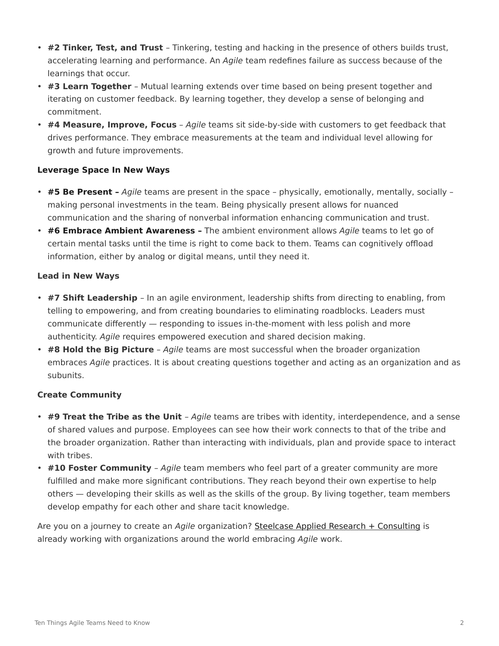- **#2 Tinker, Test, and Trust** Tinkering, testing and hacking in the presence of others builds trust, accelerating learning and performance. An *Agile* team redefines failure as success because of the learnings that occur.
- **#3 Learn Together** Mutual learning extends over time based on being present together and iterating on customer feedback. By learning together, they develop a sense of belonging and commitment.
- **#4 Measure, Improve, Focus** *Agile* teams sit side-by-side with customers to get feedback that drives performance. They embrace measurements at the team and individual level allowing for growth and future improvements.

#### **Leverage Space In New Ways**

- **#5 Be Present –** *Agile* teams are present in the space physically, emotionally, mentally, socially making personal investments in the team. Being physically present allows for nuanced communication and the sharing of nonverbal information enhancing communication and trust.
- **#6 Embrace Ambient Awareness –** The ambient environment allows *Agile* teams to let go of certain mental tasks until the time is right to come back to them. Teams can cognitively offload information, either by analog or digital means, until they need it.

#### **Lead in New Ways**

- **#7 Shift Leadership** In an agile environment, leadership shifts from directing to enabling, from telling to empowering, and from creating boundaries to eliminating roadblocks. Leaders must communicate differently — responding to issues in-the-moment with less polish and more authenticity. *Agile* requires empowered execution and shared decision making.
- **#8 Hold the Big Picture** *Agile* teams are most successful when the broader organization embraces *Agile* practices. It is about creating questions together and acting as an organization and as subunits.

#### **Create Community**

- **#9 Treat the Tribe as the Unit** *Agile* teams are tribes with identity, interdependence, and a sense of shared values and purpose. Employees can see how their work connects to that of the tribe and the broader organization. Rather than interacting with individuals, plan and provide space to interact with tribes.
- **#10 Foster Community** *Agile* team members who feel part of a greater community are more fulfilled and make more significant contributions. They reach beyond their own expertise to help others — developing their skills as well as the skills of the group. By living together, team members develop empathy for each other and share tacit knowledge.

Are you on a journey to create an *Agile* organization? [Steelcase Applied Research + Consulting](https://www.steelcase.com/about/steelcase/consulting/) is already working with organizations around the world embracing *Agile* work.